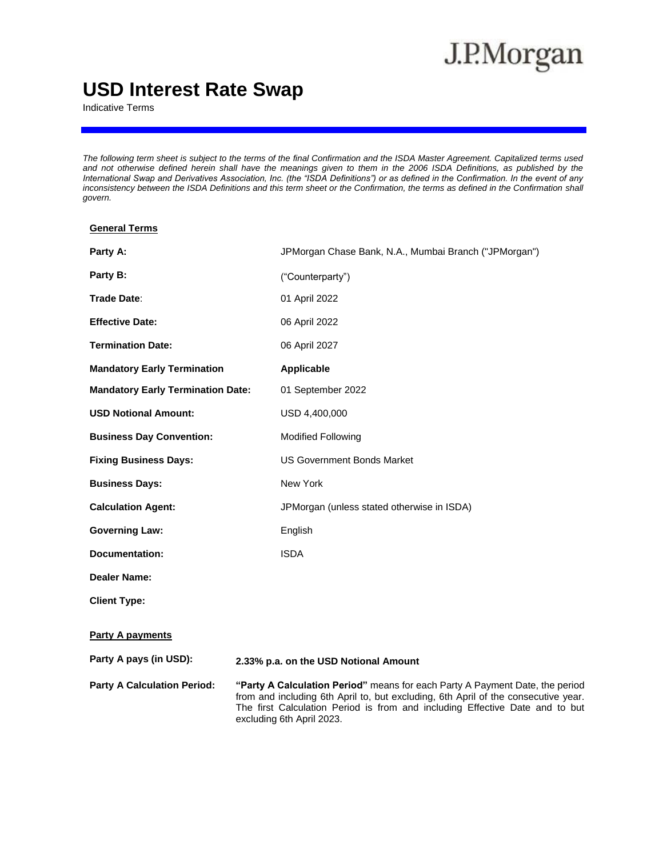# J.P.Morgan

# **USD Interest Rate Swap**

Indicative Terms

*The following term sheet is subject to the terms of the final Confirmation and the ISDA Master Agreement. Capitalized terms used and not otherwise defined herein shall have the meanings given to them in the 2006 ISDA Definitions, as published by the International Swap and Derivatives Association, Inc. (the "ISDA Definitions") or as defined in the Confirmation. In the event of any inconsistency between the ISDA Definitions and this term sheet or the Confirmation, the terms as defined in the Confirmation shall govern.*

| <b>General Terms</b>                     |                                                                                                                                                                                                                                                                                 |
|------------------------------------------|---------------------------------------------------------------------------------------------------------------------------------------------------------------------------------------------------------------------------------------------------------------------------------|
| Party A:                                 | JPMorgan Chase Bank, N.A., Mumbai Branch ("JPMorgan")                                                                                                                                                                                                                           |
| Party B:                                 | ("Counterparty")                                                                                                                                                                                                                                                                |
| Trade Date:                              | 01 April 2022                                                                                                                                                                                                                                                                   |
| <b>Effective Date:</b>                   | 06 April 2022                                                                                                                                                                                                                                                                   |
| <b>Termination Date:</b>                 | 06 April 2027                                                                                                                                                                                                                                                                   |
| <b>Mandatory Early Termination</b>       | <b>Applicable</b>                                                                                                                                                                                                                                                               |
| <b>Mandatory Early Termination Date:</b> | 01 September 2022                                                                                                                                                                                                                                                               |
| <b>USD Notional Amount:</b>              | USD 4,400,000                                                                                                                                                                                                                                                                   |
| <b>Business Day Convention:</b>          | <b>Modified Following</b>                                                                                                                                                                                                                                                       |
| <b>Fixing Business Days:</b>             | US Government Bonds Market                                                                                                                                                                                                                                                      |
| <b>Business Days:</b>                    | New York                                                                                                                                                                                                                                                                        |
| <b>Calculation Agent:</b>                | JPMorgan (unless stated otherwise in ISDA)                                                                                                                                                                                                                                      |
| <b>Governing Law:</b>                    | English                                                                                                                                                                                                                                                                         |
| <b>Documentation:</b>                    | <b>ISDA</b>                                                                                                                                                                                                                                                                     |
| <b>Dealer Name:</b>                      |                                                                                                                                                                                                                                                                                 |
| <b>Client Type:</b>                      |                                                                                                                                                                                                                                                                                 |
| <b>Party A payments</b>                  |                                                                                                                                                                                                                                                                                 |
| Party A pays (in USD):                   | 2.33% p.a. on the USD Notional Amount                                                                                                                                                                                                                                           |
| <b>Party A Calculation Period:</b>       | "Party A Calculation Period" means for each Party A Payment Date, the period<br>from and including 6th April to, but excluding, 6th April of the consecutive year.<br>The first Calculation Period is from and including Effective Date and to but<br>excluding 6th April 2023. |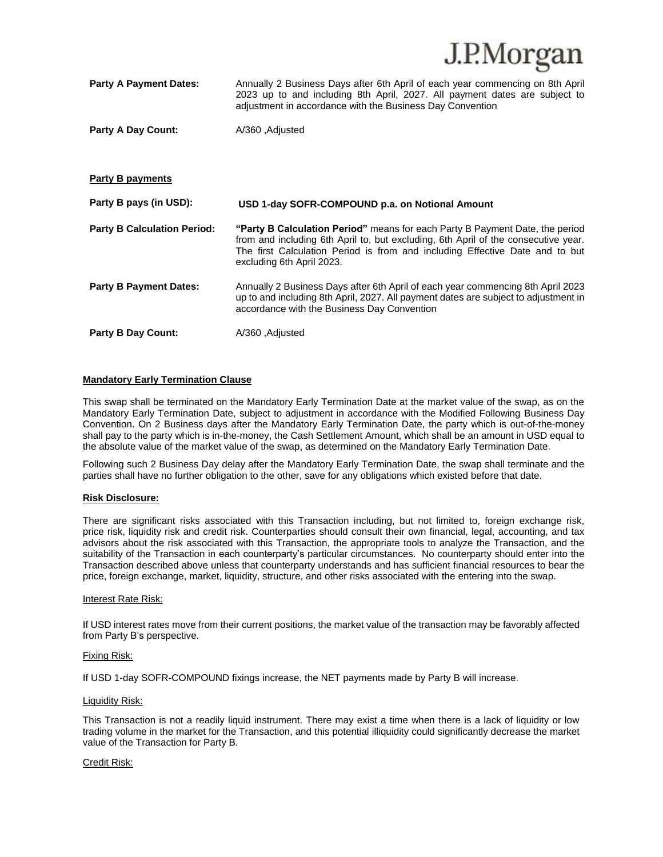|                                    | J.I.WIUI gall                                                                                                                                                                                                                                                                   |
|------------------------------------|---------------------------------------------------------------------------------------------------------------------------------------------------------------------------------------------------------------------------------------------------------------------------------|
| <b>Party A Payment Dates:</b>      | Annually 2 Business Days after 6th April of each year commencing on 8th April<br>2023 up to and including 8th April, 2027. All payment dates are subject to<br>adjustment in accordance with the Business Day Convention                                                        |
| <b>Party A Day Count:</b>          | A/360, Adjusted                                                                                                                                                                                                                                                                 |
|                                    |                                                                                                                                                                                                                                                                                 |
|                                    |                                                                                                                                                                                                                                                                                 |
| Party B payments                   |                                                                                                                                                                                                                                                                                 |
|                                    |                                                                                                                                                                                                                                                                                 |
| Party B pays (in USD):             | USD 1-day SOFR-COMPOUND p.a. on Notional Amount                                                                                                                                                                                                                                 |
| <b>Party B Calculation Period:</b> | "Party B Calculation Period" means for each Party B Payment Date, the period<br>from and including 6th April to, but excluding, 6th April of the consecutive year.<br>The first Calculation Period is from and including Effective Date and to but<br>excluding 6th April 2023. |
| <b>Party B Payment Dates:</b>      | Annually 2 Business Days after 6th April of each year commencing 8th April 2023<br>up to and including 8th April, 2027. All payment dates are subject to adjustment in<br>accordance with the Business Day Convention                                                           |

 $IDM<sub>orcon</sub>$ 

#### **Mandatory Early Termination Clause**

This swap shall be terminated on the Mandatory Early Termination Date at the market value of the swap, as on the Mandatory Early Termination Date, subject to adjustment in accordance with the Modified Following Business Day Convention. On 2 Business days after the Mandatory Early Termination Date, the party which is out-of-the-money shall pay to the party which is in-the-money, the Cash Settlement Amount, which shall be an amount in USD equal to the absolute value of the market value of the swap, as determined on the Mandatory Early Termination Date.

Following such 2 Business Day delay after the Mandatory Early Termination Date, the swap shall terminate and the parties shall have no further obligation to the other, save for any obligations which existed before that date.

#### **Risk Disclosure:**

There are significant risks associated with this Transaction including, but not limited to, foreign exchange risk, price risk, liquidity risk and credit risk. Counterparties should consult their own financial, legal, accounting, and tax advisors about the risk associated with this Transaction, the appropriate tools to analyze the Transaction, and the suitability of the Transaction in each counterparty's particular circumstances. No counterparty should enter into the Transaction described above unless that counterparty understands and has sufficient financial resources to bear the price, foreign exchange, market, liquidity, structure, and other risks associated with the entering into the swap.

#### Interest Rate Risk:

If USD interest rates move from their current positions, the market value of the transaction may be favorably affected from Party B's perspective.

#### Fixing Risk:

If USD 1-day SOFR-COMPOUND fixings increase, the NET payments made by Party B will increase.

#### Liquidity Risk:

This Transaction is not a readily liquid instrument. There may exist a time when there is a lack of liquidity or low trading volume in the market for the Transaction, and this potential illiquidity could significantly decrease the market value of the Transaction for Party B.

#### Credit Risk: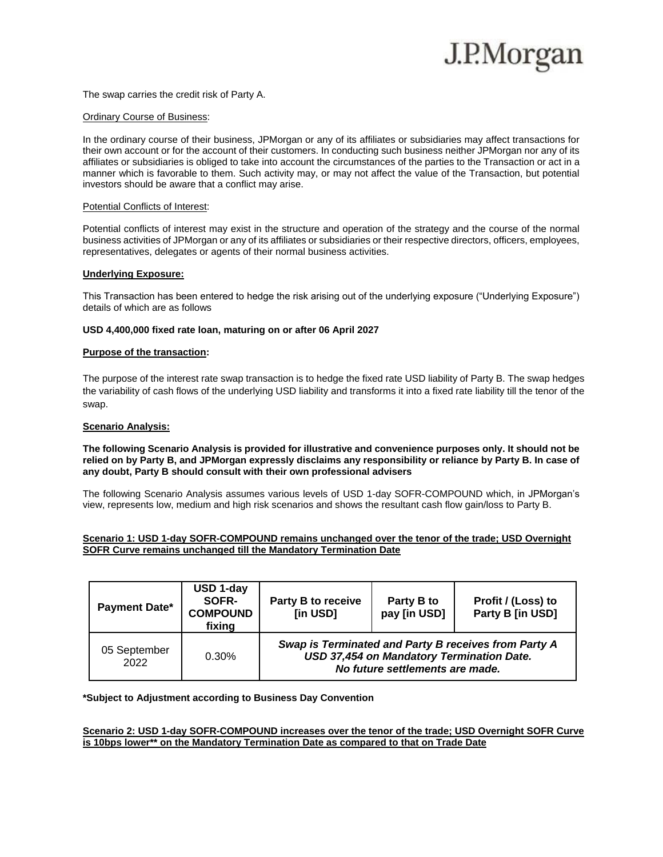# J.P.Morgan

The swap carries the credit risk of Party A.

#### Ordinary Course of Business:

In the ordinary course of their business, JPMorgan or any of its affiliates or subsidiaries may affect transactions for their own account or for the account of their customers. In conducting such business neither JPMorgan nor any of its affiliates or subsidiaries is obliged to take into account the circumstances of the parties to the Transaction or act in a manner which is favorable to them. Such activity may, or may not affect the value of the Transaction, but potential investors should be aware that a conflict may arise.

#### Potential Conflicts of Interest:

Potential conflicts of interest may exist in the structure and operation of the strategy and the course of the normal business activities of JPMorgan or any of its affiliates or subsidiaries or their respective directors, officers, employees, representatives, delegates or agents of their normal business activities.

#### **Underlying Exposure:**

This Transaction has been entered to hedge the risk arising out of the underlying exposure ("Underlying Exposure") details of which are as follows

#### **USD 4,400,000 fixed rate loan, maturing on or after 06 April 2027**

### **Purpose of the transaction:**

The purpose of the interest rate swap transaction is to hedge the fixed rate USD liability of Party B. The swap hedges the variability of cash flows of the underlying USD liability and transforms it into a fixed rate liability till the tenor of the swap.

#### **Scenario Analysis:**

### **The following Scenario Analysis is provided for illustrative and convenience purposes only. It should not be relied on by Party B, and JPMorgan expressly disclaims any responsibility or reliance by Party B. In case of any doubt, Party B should consult with their own professional advisers**

The following Scenario Analysis assumes various levels of USD 1-day SOFR-COMPOUND which, in JPMorgan's view, represents low, medium and high risk scenarios and shows the resultant cash flow gain/loss to Party B.

# **Scenario 1: USD 1-day SOFR-COMPOUND remains unchanged over the tenor of the trade; USD Overnight SOFR Curve remains unchanged till the Mandatory Termination Date**

| <b>Payment Date*</b> | USD 1-day<br>SOFR-<br><b>COMPOUND</b><br>fixing | <b>Party B to receive</b><br>[in USD]                                                                                                | Party B to<br>pay [in USD] | Profit / (Loss) to<br>Party B [in USD] |
|----------------------|-------------------------------------------------|--------------------------------------------------------------------------------------------------------------------------------------|----------------------------|----------------------------------------|
| 05 September<br>2022 | 0.30%                                           | Swap is Terminated and Party B receives from Party A<br>USD 37,454 on Mandatory Termination Date.<br>No future settlements are made. |                            |                                        |

#### **\*Subject to Adjustment according to Business Day Convention**

#### **Scenario 2: USD 1-day SOFR-COMPOUND increases over the tenor of the trade; USD Overnight SOFR Curve is 10bps lower\*\* on the Mandatory Termination Date as compared to that on Trade Date**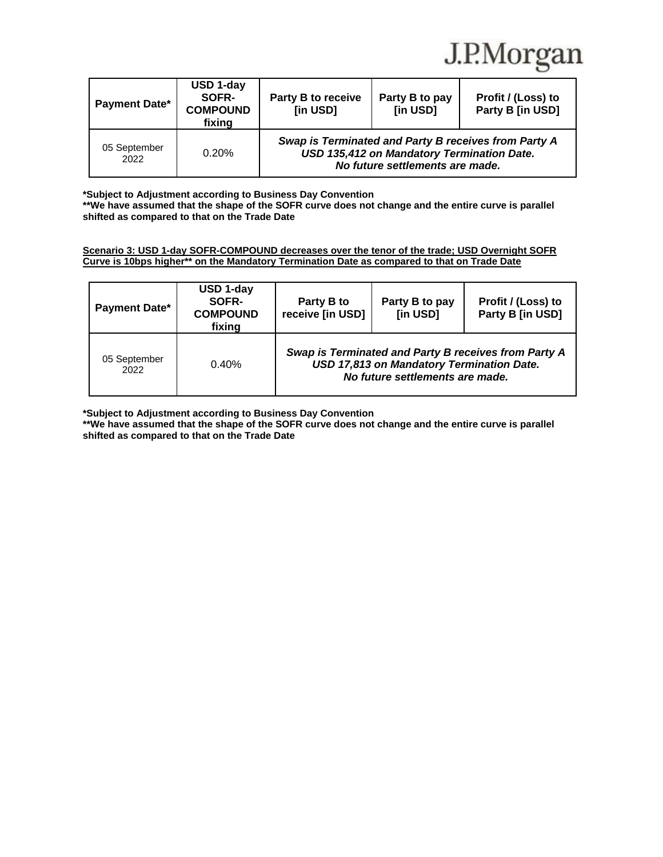

| <b>Payment Date*</b> | USD 1-day<br>SOFR-<br><b>COMPOUND</b><br>fixing | <b>Party B to receive</b><br>[in USD]                                                                                                 | Party B to pay<br>[in USD] | Profit / (Loss) to<br>Party B [in USD] |
|----------------------|-------------------------------------------------|---------------------------------------------------------------------------------------------------------------------------------------|----------------------------|----------------------------------------|
| 05 September<br>2022 | 0.20%                                           | Swap is Terminated and Party B receives from Party A<br>USD 135,412 on Mandatory Termination Date.<br>No future settlements are made. |                            |                                        |

**\*Subject to Adjustment according to Business Day Convention**

**\*\*We have assumed that the shape of the SOFR curve does not change and the entire curve is parallel shifted as compared to that on the Trade Date**

**Scenario 3: USD 1-day SOFR-COMPOUND decreases over the tenor of the trade; USD Overnight SOFR Curve is 10bps higher\*\* on the Mandatory Termination Date as compared to that on Trade Date**

| <b>Payment Date*</b> | USD 1-day<br>SOFR-<br><b>COMPOUND</b><br>fixing | Party B to<br>receive [in USD]                                                                                                       | Party B to pay<br>[in USD] | Profit / (Loss) to<br>Party B [in USD] |
|----------------------|-------------------------------------------------|--------------------------------------------------------------------------------------------------------------------------------------|----------------------------|----------------------------------------|
| 05 September<br>2022 | 0.40%                                           | Swap is Terminated and Party B receives from Party A<br>USD 17,813 on Mandatory Termination Date.<br>No future settlements are made. |                            |                                        |

**\*Subject to Adjustment according to Business Day Convention**

**\*\*We have assumed that the shape of the SOFR curve does not change and the entire curve is parallel shifted as compared to that on the Trade Date**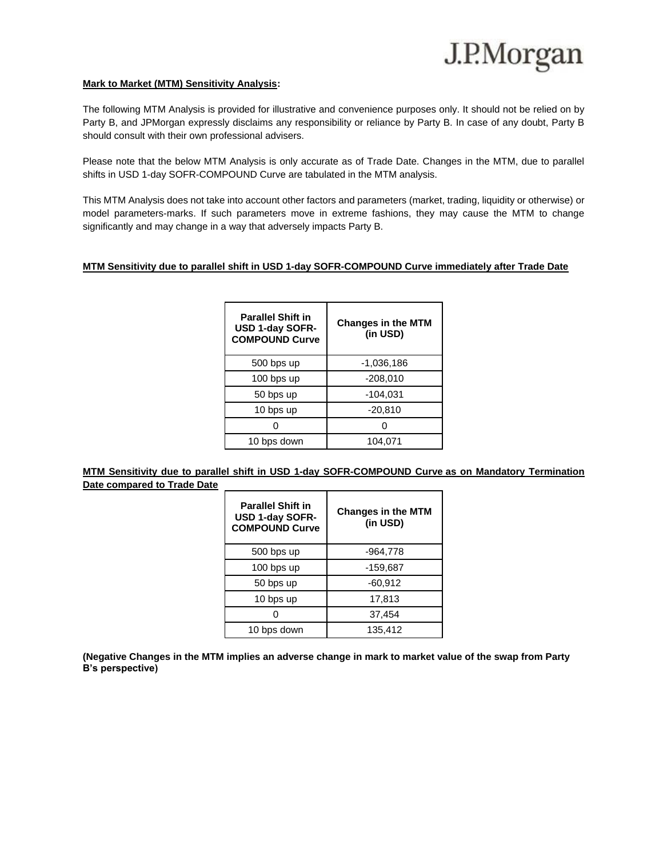# **Mark to Market (MTM) Sensitivity Analysis:**

The following MTM Analysis is provided for illustrative and convenience purposes only. It should not be relied on by Party B, and JPMorgan expressly disclaims any responsibility or reliance by Party B. In case of any doubt, Party B should consult with their own professional advisers.

Please note that the below MTM Analysis is only accurate as of Trade Date. Changes in the MTM, due to parallel shifts in USD 1-day SOFR-COMPOUND Curve are tabulated in the MTM analysis.

This MTM Analysis does not take into account other factors and parameters (market, trading, liquidity or otherwise) or model parameters-marks. If such parameters move in extreme fashions, they may cause the MTM to change significantly and may change in a way that adversely impacts Party B.

# **MTM Sensitivity due to parallel shift in USD 1-day SOFR-COMPOUND Curve immediately after Trade Date**

| <b>Parallel Shift in</b><br>USD 1-day SOFR-<br><b>COMPOUND Curve</b> | <b>Changes in the MTM</b><br>(in USD) |  |
|----------------------------------------------------------------------|---------------------------------------|--|
| 500 bps up                                                           | -1,036,186                            |  |
| 100 bps up                                                           | $-208,010$                            |  |
| 50 bps up                                                            | $-104,031$                            |  |
| 10 bps up                                                            | $-20,810$                             |  |
|                                                                      |                                       |  |
| 10 bps down                                                          | 104,071                               |  |

**MTM Sensitivity due to parallel shift in USD 1-day SOFR-COMPOUND Curve as on Mandatory Termination Date compared to Trade Date**

| <b>Parallel Shift in</b><br><b>USD 1-day SOFR-</b><br><b>COMPOUND Curve</b> | <b>Changes in the MTM</b><br>(in USD) |  |
|-----------------------------------------------------------------------------|---------------------------------------|--|
| 500 bps up                                                                  | -964,778                              |  |
| 100 bps up                                                                  | -159,687                              |  |
| 50 bps up                                                                   | $-60,912$                             |  |
| 10 bps up                                                                   | 17,813                                |  |
|                                                                             | 37,454                                |  |
| 10 bps down                                                                 | 135,412                               |  |

**(Negative Changes in the MTM implies an adverse change in mark to market value of the swap from Party B's perspective)**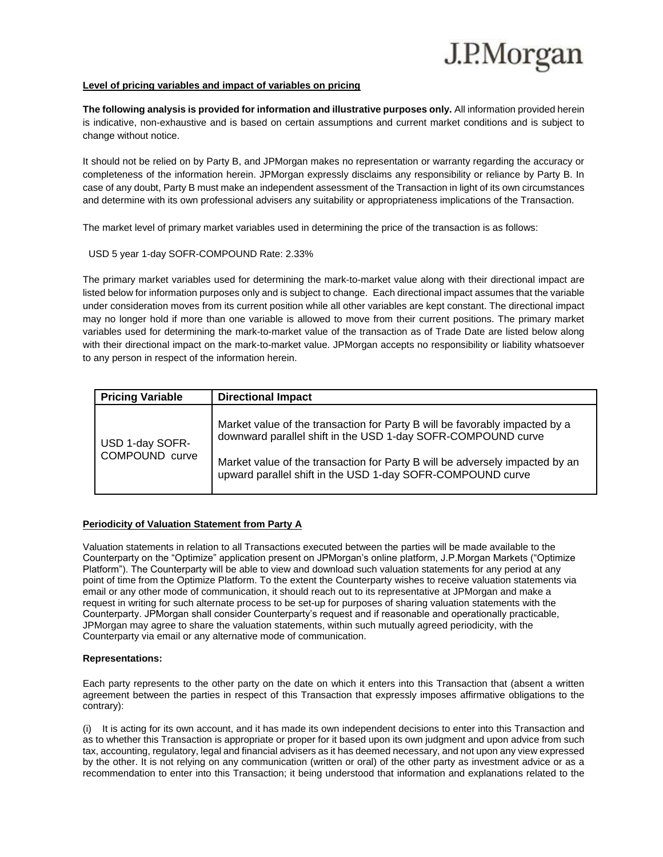# J.P.Morgan

#### **Level of pricing variables and impact of variables on pricing**

**The following analysis is provided for information and illustrative purposes only.** All information provided herein is indicative, non-exhaustive and is based on certain assumptions and current market conditions and is subject to change without notice.

It should not be relied on by Party B, and JPMorgan makes no representation or warranty regarding the accuracy or completeness of the information herein. JPMorgan expressly disclaims any responsibility or reliance by Party B. In case of any doubt, Party B must make an independent assessment of the Transaction in light of its own circumstances and determine with its own professional advisers any suitability or appropriateness implications of the Transaction.

The market level of primary market variables used in determining the price of the transaction is as follows:

# USD 5 year 1-day SOFR-COMPOUND Rate: 2.33%

The primary market variables used for determining the mark-to-market value along with their directional impact are listed below for information purposes only and is subject to change. Each directional impact assumes that the variable under consideration moves from its current position while all other variables are kept constant. The directional impact may no longer hold if more than one variable is allowed to move from their current positions. The primary market variables used for determining the mark-to-market value of the transaction as of Trade Date are listed below along with their directional impact on the mark-to-market value. JPMorgan accepts no responsibility or liability whatsoever to any person in respect of the information herein.

| <b>Pricing Variable</b>           | <b>Directional Impact</b>                                                                                                                                                                                                                                                                 |
|-----------------------------------|-------------------------------------------------------------------------------------------------------------------------------------------------------------------------------------------------------------------------------------------------------------------------------------------|
| USD 1-day SOFR-<br>COMPOUND curve | Market value of the transaction for Party B will be favorably impacted by a<br>downward parallel shift in the USD 1-day SOFR-COMPOUND curve<br>Market value of the transaction for Party B will be adversely impacted by an<br>upward parallel shift in the USD 1-day SOFR-COMPOUND curve |

# **Periodicity of Valuation Statement from Party A**

Valuation statements in relation to all Transactions executed between the parties will be made available to the Counterparty on the "Optimize" application present on JPMorgan's online platform, J.P.Morgan Markets ("Optimize Platform"). The Counterparty will be able to view and download such valuation statements for any period at any point of time from the Optimize Platform. To the extent the Counterparty wishes to receive valuation statements via email or any other mode of communication, it should reach out to its representative at JPMorgan and make a request in writing for such alternate process to be set-up for purposes of sharing valuation statements with the Counterparty. JPMorgan shall consider Counterparty's request and if reasonable and operationally practicable, JPMorgan may agree to share the valuation statements, within such mutually agreed periodicity, with the Counterparty via email or any alternative mode of communication.

# **Representations:**

Each party represents to the other party on the date on which it enters into this Transaction that (absent a written agreement between the parties in respect of this Transaction that expressly imposes affirmative obligations to the contrary):

(i) It is acting for its own account, and it has made its own independent decisions to enter into this Transaction and as to whether this Transaction is appropriate or proper for it based upon its own judgment and upon advice from such tax, accounting, regulatory, legal and financial advisers as it has deemed necessary, and not upon any view expressed by the other. It is not relying on any communication (written or oral) of the other party as investment advice or as a recommendation to enter into this Transaction; it being understood that information and explanations related to the